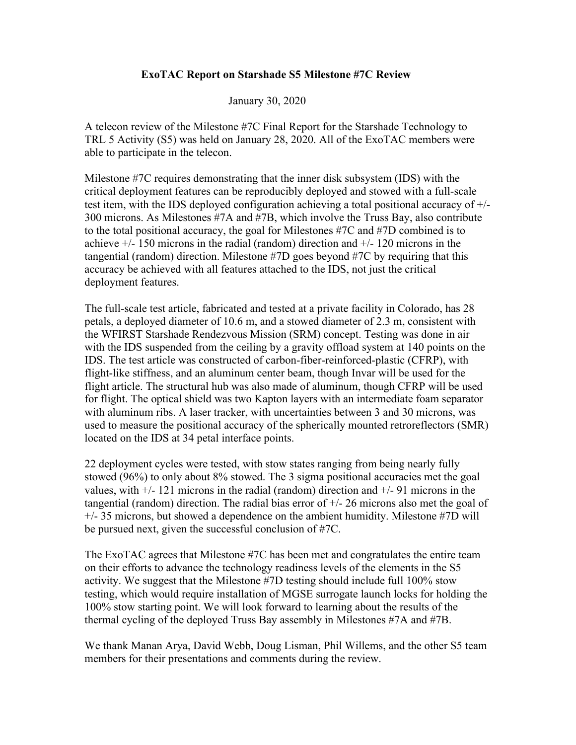## **ExoTAC Report on Starshade S5 Milestone #7C Review**

## January 30, 2020

A telecon review of the Milestone #7C Final Report for the Starshade Technology to TRL 5 Activity (S5) was held on January 28, 2020. All of the ExoTAC members were able to participate in the telecon.

Milestone #7C requires demonstrating that the inner disk subsystem (IDS) with the critical deployment features can be reproducibly deployed and stowed with a full-scale test item, with the IDS deployed configuration achieving a total positional accuracy of +/- 300 microns. As Milestones #7A and #7B, which involve the Truss Bay, also contribute to the total positional accuracy, the goal for Milestones #7C and #7D combined is to achieve +/- 150 microns in the radial (random) direction and +/- 120 microns in the tangential (random) direction. Milestone #7D goes beyond #7C by requiring that this accuracy be achieved with all features attached to the IDS, not just the critical deployment features.

The full-scale test article, fabricated and tested at a private facility in Colorado, has 28 petals, a deployed diameter of 10.6 m, and a stowed diameter of 2.3 m, consistent with the WFIRST Starshade Rendezvous Mission (SRM) concept. Testing was done in air with the IDS suspended from the ceiling by a gravity offload system at 140 points on the IDS. The test article was constructed of carbon-fiber-reinforced-plastic (CFRP), with flight-like stiffness, and an aluminum center beam, though Invar will be used for the flight article. The structural hub was also made of aluminum, though CFRP will be used for flight. The optical shield was two Kapton layers with an intermediate foam separator with aluminum ribs. A laser tracker, with uncertainties between 3 and 30 microns, was used to measure the positional accuracy of the spherically mounted retroreflectors (SMR) located on the IDS at 34 petal interface points.

22 deployment cycles were tested, with stow states ranging from being nearly fully stowed (96%) to only about 8% stowed. The 3 sigma positional accuracies met the goal values, with  $+/- 121$  microns in the radial (random) direction and  $+/- 91$  microns in the tangential (random) direction. The radial bias error of  $+/- 26$  microns also met the goal of +/- 35 microns, but showed a dependence on the ambient humidity. Milestone #7D will be pursued next, given the successful conclusion of #7C.

The ExoTAC agrees that Milestone #7C has been met and congratulates the entire team on their efforts to advance the technology readiness levels of the elements in the S5 activity. We suggest that the Milestone #7D testing should include full 100% stow testing, which would require installation of MGSE surrogate launch locks for holding the 100% stow starting point. We will look forward to learning about the results of the thermal cycling of the deployed Truss Bay assembly in Milestones #7A and #7B.

We thank Manan Arya, David Webb, Doug Lisman, Phil Willems, and the other S5 team members for their presentations and comments during the review.